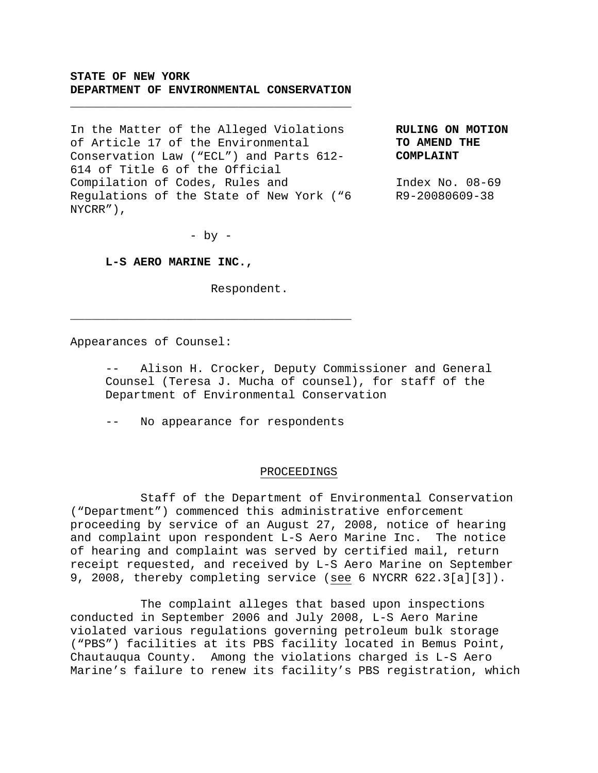# **STATE OF NEW YORK DEPARTMENT OF ENVIRONMENTAL CONSERVATION**

**\_\_\_\_\_\_\_\_\_\_\_\_\_\_\_\_\_\_\_\_\_\_\_\_\_\_\_\_\_\_\_\_\_\_\_\_\_\_\_\_** 

In the Matter of the Alleged Violations of Article 17 of the Environmental Conservation Law ("ECL") and Parts 612- 614 of Title 6 of the Official Compilation of Codes, Rules and Regulations of the State of New York ("6 NYCRR"),

**RULING ON MOTION TO AMEND THE COMPLAINT** 

Index No. 08-69 R9-20080609-38

- by -

**\_\_\_\_\_\_\_\_\_\_\_\_\_\_\_\_\_\_\_\_\_\_\_\_\_\_\_\_\_\_\_\_\_\_\_\_\_\_\_\_**

## **L-S AERO MARINE INC.,**

Respondent.

Appearances of Counsel:

Alison H. Crocker, Deputy Commissioner and General Counsel (Teresa J. Mucha of counsel), for staff of the Department of Environmental Conservation

-- No appearance for respondents

## PROCEEDINGS

 Staff of the Department of Environmental Conservation ("Department") commenced this administrative enforcement proceeding by service of an August 27, 2008, notice of hearing and complaint upon respondent L-S Aero Marine Inc. The notice of hearing and complaint was served by certified mail, return receipt requested, and received by L-S Aero Marine on September 9, 2008, thereby completing service (see 6 NYCRR 622.3[a][3]).

 The complaint alleges that based upon inspections conducted in September 2006 and July 2008, L-S Aero Marine violated various regulations governing petroleum bulk storage ("PBS") facilities at its PBS facility located in Bemus Point, Chautauqua County. Among the violations charged is L-S Aero Marine's failure to renew its facility's PBS registration, which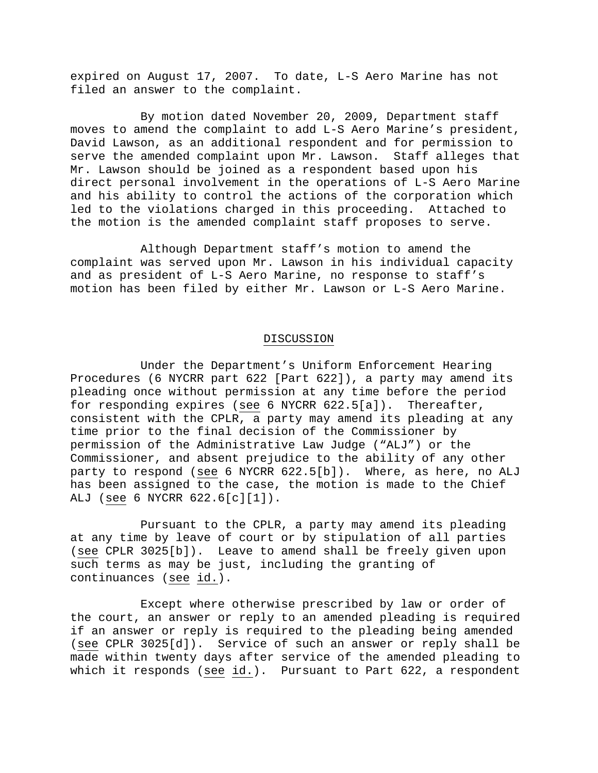expired on August 17, 2007. To date, L-S Aero Marine has not filed an answer to the complaint.

 By motion dated November 20, 2009, Department staff moves to amend the complaint to add L-S Aero Marine's president, David Lawson, as an additional respondent and for permission to serve the amended complaint upon Mr. Lawson. Staff alleges that Mr. Lawson should be joined as a respondent based upon his direct personal involvement in the operations of L-S Aero Marine and his ability to control the actions of the corporation which led to the violations charged in this proceeding. Attached to the motion is the amended complaint staff proposes to serve.

 Although Department staff's motion to amend the complaint was served upon Mr. Lawson in his individual capacity and as president of L-S Aero Marine, no response to staff's motion has been filed by either Mr. Lawson or L-S Aero Marine.

#### DISCUSSION

 Under the Department's Uniform Enforcement Hearing Procedures (6 NYCRR part 622 [Part 622]), a party may amend its pleading once without permission at any time before the period for responding expires (see 6 NYCRR 622.5[a]). Thereafter, consistent with the CPLR, a party may amend its pleading at any time prior to the final decision of the Commissioner by permission of the Administrative Law Judge ("ALJ") or the Commissioner, and absent prejudice to the ability of any other party to respond (see 6 NYCRR 622.5[b]). Where, as here, no ALJ has been assigned to the case, the motion is made to the Chief ALJ (see 6 NYCRR 622.6[c][1]).

 Pursuant to the CPLR, a party may amend its pleading at any time by leave of court or by stipulation of all parties (see CPLR 3025[b]). Leave to amend shall be freely given upon such terms as may be just, including the granting of continuances (see id.).

 Except where otherwise prescribed by law or order of the court, an answer or reply to an amended pleading is required if an answer or reply is required to the pleading being amended (see CPLR 3025[d]). Service of such an answer or reply shall be made within twenty days after service of the amended pleading to which it responds (see id.). Pursuant to Part 622, a respondent